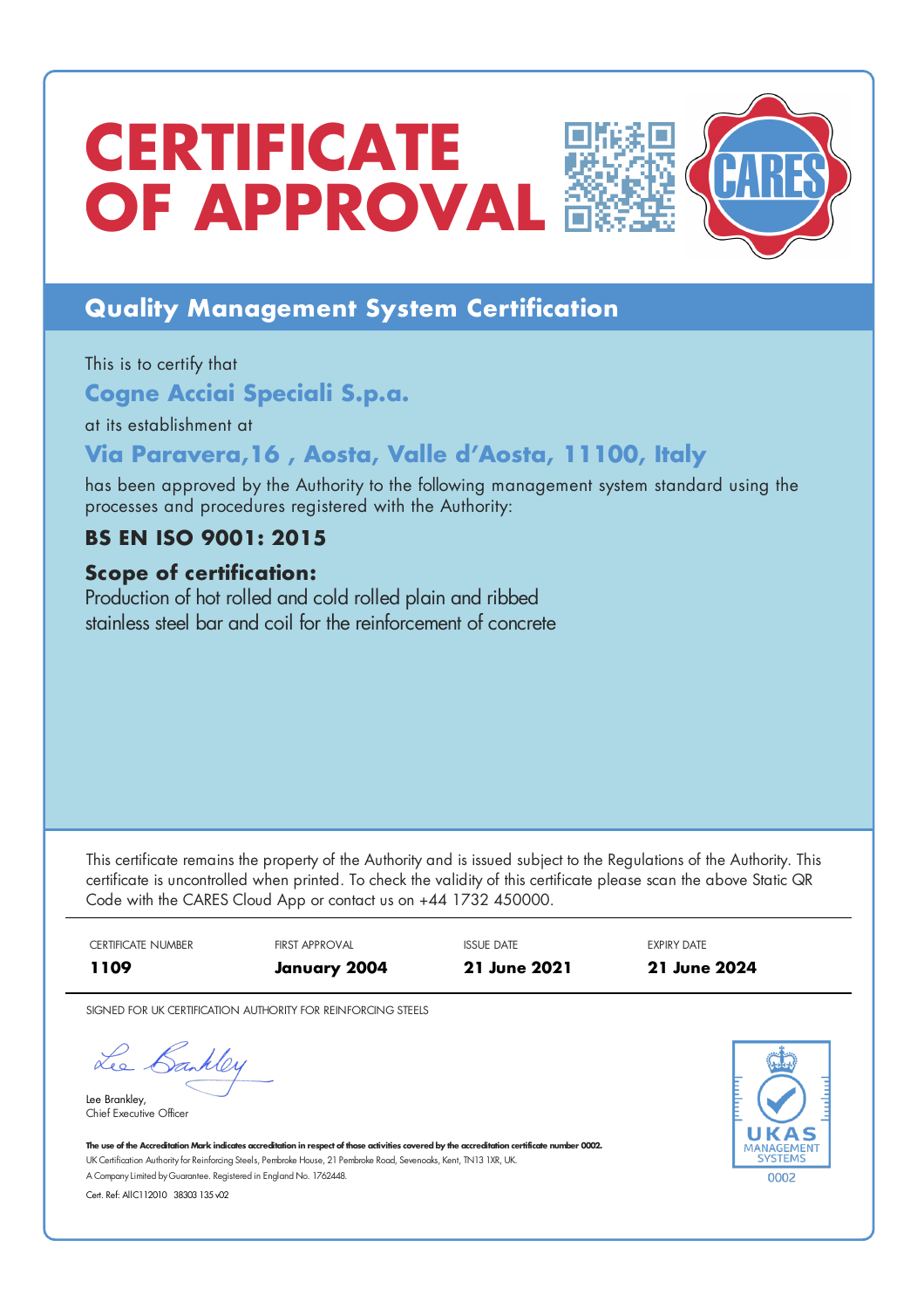# **CERTIFICATE OF** APPROVAL



## **Quality Management System Certification**

This is to certify that

**Cogne Acciai Speciali S.p.a.**

at its establishment at

### **Via Paravera,16 , Aosta, Valle d'Aosta, 11100, Italy**

has been approved by the Authority to the following management system standard using the processes and procedures registered with the Authority:

### **BS EN ISO 9001: 2015**

### **Scope of certification:**

Production of hot rolled and cold rolled plain and ribbed stainless steel bar and coil for the reinforcement of concrete

This certificate remains the property of the Authority and is issued subject to the Regulations of the Authority. This certificate is uncontrolled when printed. To check the validity of this certificate please scan the above Static QR Code with the CARES Cloud App or contact us on +44 1732 450000.

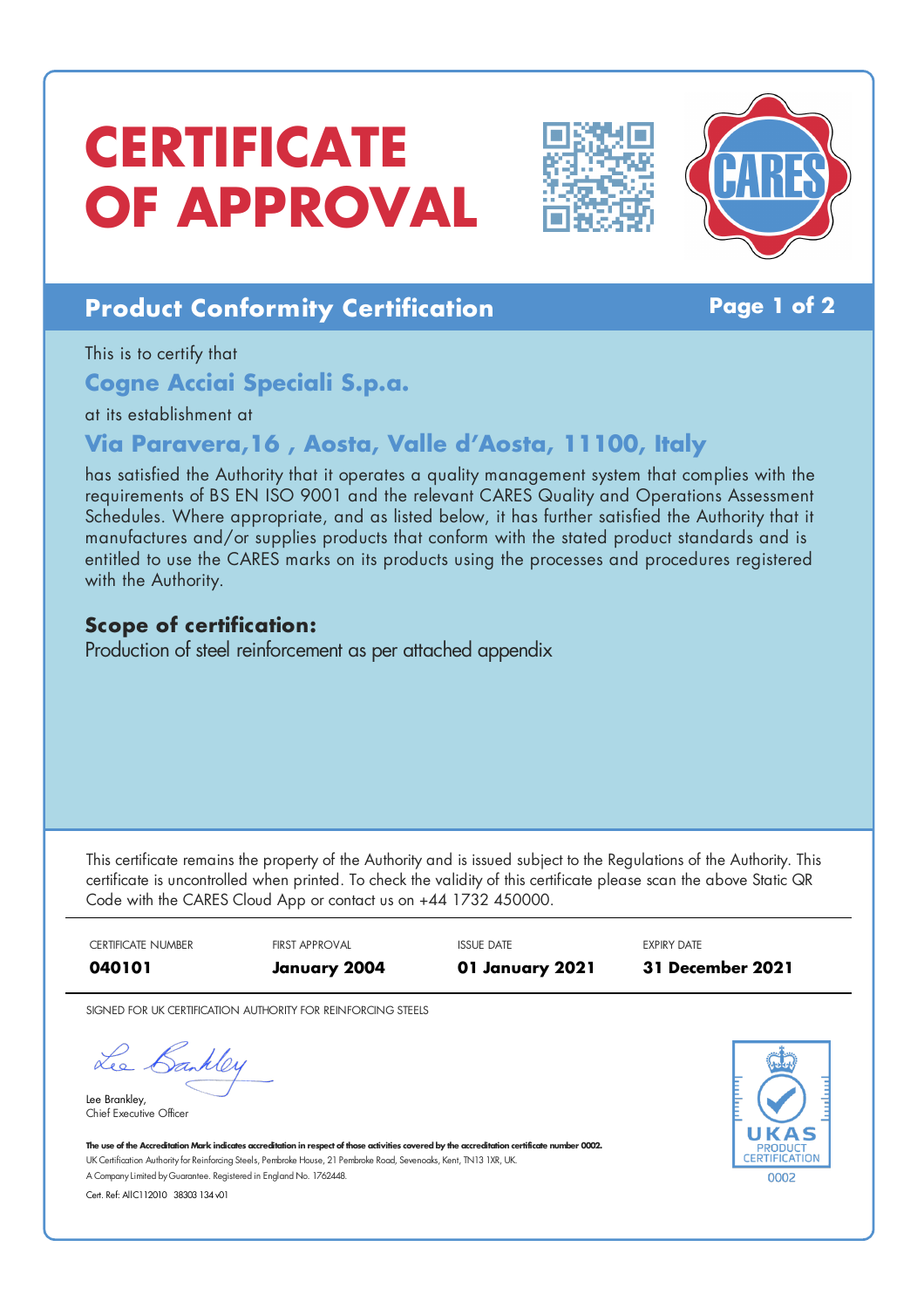# **CERTIFICATE OF APPROVAL**





## **Product Conformity Certification Page 1 of 2**

This is to certify that

**Cogne Acciai Speciali S.p.a.**

at its establishment at

### **Via Paravera,16 , Aosta, Valle d'Aosta, 11100, Italy**

has satisfied the Authority that it operates a quality management system that complies with the requirements of BS EN ISO 9001 and the relevant CARES Quality and Operations Assessment Schedules. Where appropriate, and as listed below, it has further satisfied the Authority that it manufactures and/or supplies products that conform with the stated product standards and is entitled to use the CARES marks on its products using the processes and procedures registered with the Authority.

### **Scope of certification:**

Production of steel reinforcement as per attached appendix

This certificate remains the property of the Authority and is issued subject to the Regulations of the Authority. This certificate is uncontrolled when printed. To check the validity of this certificate please scan the above Static QR Code with the CARES Cloud App or contact us on +44 1732 450000.